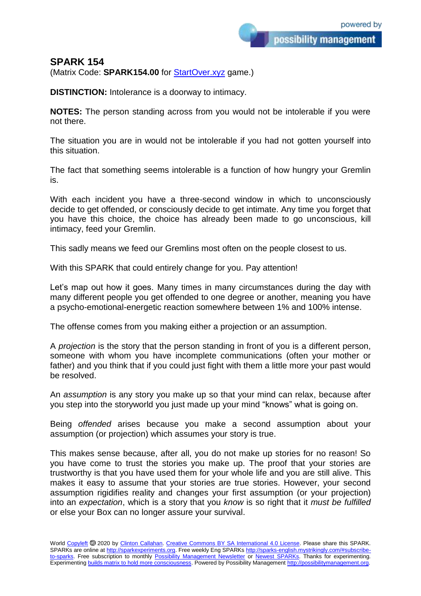possibility management

## **SPARK 154**

(Matrix Code: **SPARK154.00** for **StartOver.xyz** game.)

**DISTINCTION:** Intolerance is a doorway to intimacy.

**NOTES:** The person standing across from you would not be intolerable if you were not there.

The situation you are in would not be intolerable if you had not gotten yourself into this situation.

The fact that something seems intolerable is a function of how hungry your Gremlin is.

With each incident you have a three-second window in which to unconsciously decide to get offended, or consciously decide to get intimate. Any time you forget that you have this choice, the choice has already been made to go unconscious, kill intimacy, feed your Gremlin.

This sadly means we feed our Gremlins most often on the people closest to us.

With this SPARK that could entirely change for you. Pay attention!

Let's map out how it goes. Many times in many circumstances during the day with many different people you get offended to one degree or another, meaning you have a psycho-emotional-energetic reaction somewhere between 1% and 100% intense.

The offense comes from you making either a projection or an assumption.

A *projection* is the story that the person standing in front of you is a different person, someone with whom you have incomplete communications (often your mother or father) and you think that if you could just fight with them a little more your past would be resolved.

An *assumption* is any story you make up so that your mind can relax, because after you step into the storyworld you just made up your mind "knows" what is going on.

Being *offended* arises because you make a second assumption about your assumption (or projection) which assumes your story is true.

This makes sense because, after all, you do not make up stories for no reason! So you have come to trust the stories you make up. The proof that your stories are trustworthy is that you have used them for your whole life and you are still alive. This makes it easy to assume that your stories are true stories. However, your second assumption rigidifies reality and changes your first assumption (or your projection) into an *expectation*, which is a story that you *know* is so right that it *must be fulfilled* or else your Box can no longer assure your survival.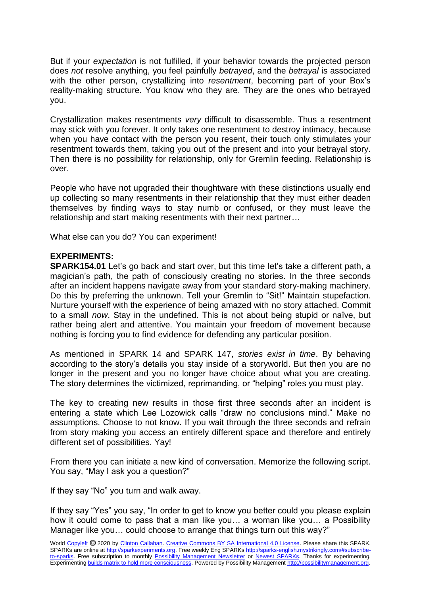But if your *expectation* is not fulfilled, if your behavior towards the projected person does *not* resolve anything, you feel painfully *betrayed*, and the *betrayal* is associated with the other person, crystallizing into *resentment*, becoming part of your Box's reality-making structure. You know who they are. They are the ones who betrayed you.

Crystallization makes resentments *very* difficult to disassemble. Thus a resentment may stick with you forever. It only takes one resentment to destroy intimacy, because when you have contact with the person you resent, their touch only stimulates your resentment towards them, taking you out of the present and into your betrayal story. Then there is no possibility for relationship, only for Gremlin feeding. Relationship is over.

People who have not upgraded their thoughtware with these distinctions usually end up collecting so many resentments in their relationship that they must either deaden themselves by finding ways to stay numb or confused, or they must leave the relationship and start making resentments with their next partner…

What else can you do? You can experiment!

## **EXPERIMENTS:**

**SPARK154.01** Let's go back and start over, but this time let's take a different path, a magician's path, the path of consciously creating no stories. In the three seconds after an incident happens navigate away from your standard story-making machinery. Do this by preferring the unknown. Tell your Gremlin to "Sit!" Maintain stupefaction. Nurture yourself with the experience of being amazed with no story attached. Commit to a small *now*. Stay in the undefined. This is not about being stupid or naïve, but rather being alert and attentive. You maintain your freedom of movement because nothing is forcing you to find evidence for defending any particular position.

As mentioned in SPARK 14 and SPARK 147, *stories exist in time*. By behaving according to the story's details you stay inside of a storyworld. But then you are no longer in the present and you no longer have choice about what you are creating. The story determines the victimized, reprimanding, or "helping" roles you must play.

The key to creating new results in those first three seconds after an incident is entering a state which Lee Lozowick calls "draw no conclusions mind." Make no assumptions. Choose to not know. If you wait through the three seconds and refrain from story making you access an entirely different space and therefore and entirely different set of possibilities. Yay!

From there you can initiate a new kind of conversation. Memorize the following script. You say, "May I ask you a question?"

If they say "No" you turn and walk away.

If they say "Yes" you say, "In order to get to know you better could you please explain how it could come to pass that a man like you… a woman like you… a Possibility Manager like you… could choose to arrange that things turn out this way?"